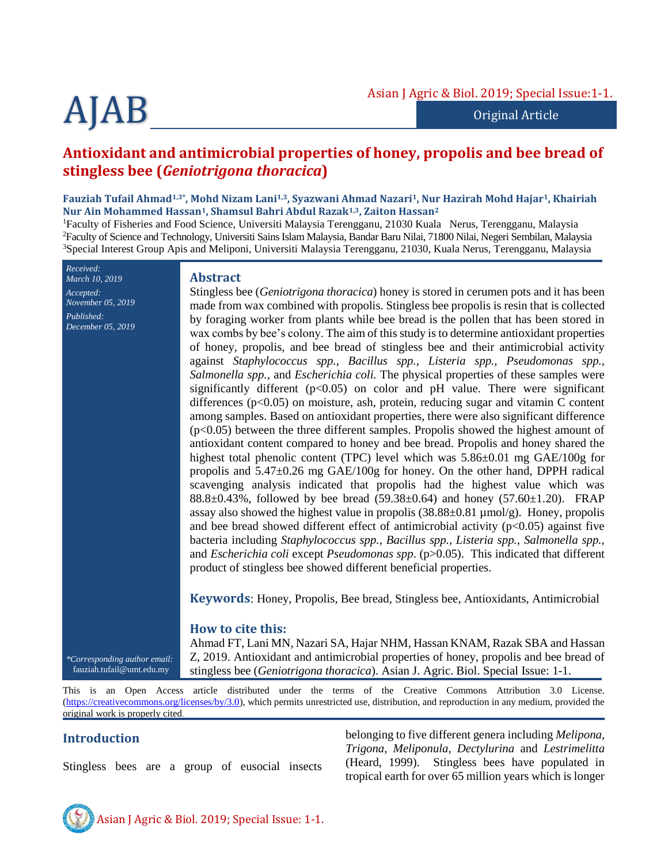# AJAB

Original Article

# **Antioxidant and antimicrobial properties of honey, propolis and bee bread of stingless bee (***Geniotrigona thoracica***)**

#### **Fauziah Tufail Ahmad1,3\*, Mohd Nizam Lani1,3, Syazwani Ahmad Nazari1, Nur Hazirah Mohd Hajar1, Khairiah Nur Ain Mohammed Hassan1, Shamsul Bahri Abdul Razak1,3, Zaiton Hassan<sup>2</sup>**

<sup>1</sup>Faculty of Fisheries and Food Science, Universiti Malaysia Terengganu, 21030 Kuala Nerus, Terengganu, Malaysia <sup>2</sup>Faculty of Science and Technology, Universiti Sains Islam Malaysia, Bandar Baru Nilai, 71800 Nilai, Negeri Sembilan, Malaysia <sup>3</sup>Special Interest Group Apis and Meliponi, Universiti Malaysia Terengganu, 21030, Kuala Nerus, Terengganu, Malaysia

*Received: March 10, 2019 Accepted: November 05, 2019 Published: December 05, 2019*

#### **Abstract**

Stingless bee (*Geniotrigona thoracica*) honey is stored in cerumen pots and it has been made from wax combined with propolis. Stingless bee propolis is resin that is collected by foraging worker from plants while bee bread is the pollen that has been stored in wax combs by bee's colony. The aim of this study is to determine antioxidant properties of honey, propolis, and bee bread of stingless bee and their antimicrobial activity against *Staphylococcus spp., Bacillus spp., Listeria spp., Pseudomonas spp., Salmonella spp.,* and *Escherichia coli.* The physical properties of these samples were significantly different  $(p<0.05)$  on color and pH value. There were significant differences ( $p<0.05$ ) on moisture, ash, protein, reducing sugar and vitamin C content among samples. Based on antioxidant properties, there were also significant difference (p<0.05) between the three different samples. Propolis showed the highest amount of antioxidant content compared to honey and bee bread. Propolis and honey shared the highest total phenolic content (TPC) level which was  $5.86\pm0.01$  mg GAE/100g for propolis and 5.47±0.26 mg GAE/100g for honey. On the other hand, DPPH radical scavenging analysis indicated that propolis had the highest value which was 88.8 $\pm$ 0.43%, followed by bee bread (59.38 $\pm$ 0.64) and honey (57.60 $\pm$ 1.20). FRAP assay also showed the highest value in propolis  $(38.88\pm0.81 \,\mu\text{mol/g})$ . Honey, propolis and bee bread showed different effect of antimicrobial activity  $(p<0.05)$  against five bacteria including *Staphylococcus spp., Bacillus spp., Listeria spp., Salmonella spp.,*  and *Escherichia coli* except *Pseudomonas spp*. (p>0.05). This indicated that different product of stingless bee showed different beneficial properties.

**Keywords**: Honey, Propolis, Bee bread, Stingless bee, Antioxidants, Antimicrobial

# **How to cite this:**

Ahmad FT, Lani MN, Nazari SA, Hajar NHM, Hassan KNAM, Razak SBA and Hassan Z, 2019. Antioxidant and antimicrobial properties of honey, propolis and bee bread of stingless bee (*Geniotrigona thoracica*). Asian J. Agric. Biol. Special Issue: 1-1.

This is an Open Access article distributed under the terms of the Creative Commons Attribution 3.0 License. [\(https://creativecommons.org/licenses/by/3.0\)](https://creativecommons.org/licenses/by/3.0), which permits unrestricted use, distribution, and reproduction in any medium, provided the original work is properly cited.

# **Introduction**

*\*Corresponding author email:* fauziah.tufail@umt.edu.my

Stingless bees are a group of eusocial insects

belonging to five different genera including *Melipona, Trigona, Meliponula, Dectylurina* and *Lestrimelitta* (Heard, 1999). Stingless bees have populated in tropical earth for over 65 million years which is longer

Asian J Agric & Biol. 2019; Special Issue: 1-1.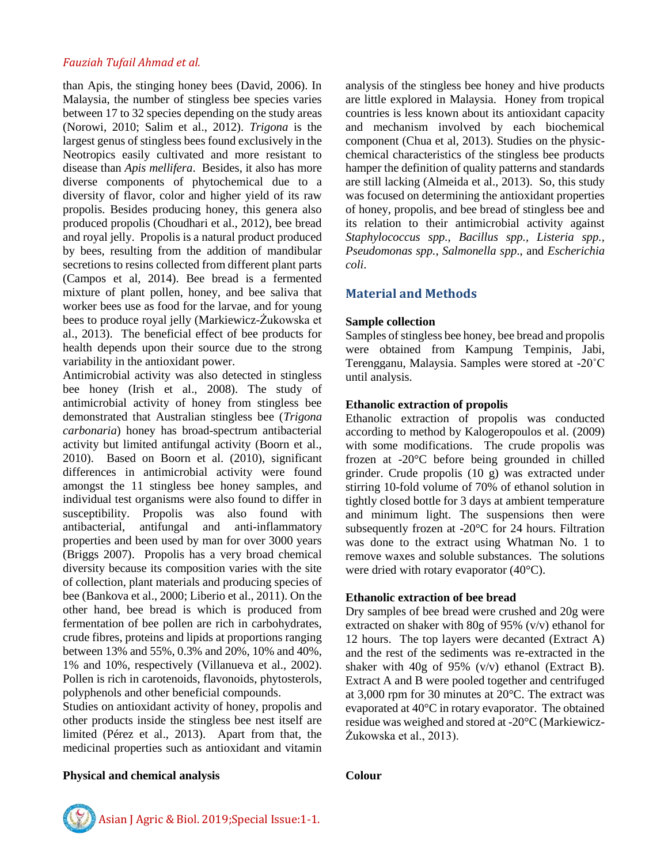than Apis, the stinging honey bees (David, 2006). In Malaysia, the number of stingless bee species varies between 17 to 32 species depending on the study areas (Norowi, 2010; Salim et al., 2012). *Trigona* is the largest genus of stingless bees found exclusively in the Neotropics easily cultivated and more resistant to disease than *Apis mellifera*. Besides, it also has more diverse components of phytochemical due to a diversity of flavor, color and higher yield of its raw propolis. Besides producing honey, this genera also produced propolis (Choudhari et al., 2012), bee bread and royal jelly. Propolis is a natural product produced by bees, resulting from the addition of mandibular secretions to resins collected from different plant parts (Campos et al, 2014). Bee bread is a fermented mixture of plant pollen, honey, and bee saliva that worker bees use as food for the larvae, and for young bees to produce royal jelly (Markiewicz-Żukowska et al., 2013). The beneficial effect of bee products for health depends upon their source due to the strong variability in the antioxidant power.

Antimicrobial activity was also detected in stingless bee honey (Irish et al., 2008). The study of antimicrobial activity of honey from stingless bee demonstrated that Australian stingless bee (*Trigona carbonaria*) honey has broad-spectrum antibacterial activity but limited antifungal activity (Boorn et al., 2010). Based on Boorn et al. (2010), significant differences in antimicrobial activity were found amongst the 11 stingless bee honey samples, and individual test organisms were also found to differ in susceptibility. Propolis was also found with antibacterial, antifungal and anti-inflammatory properties and been used by man for over 3000 years (Briggs 2007). Propolis has a very broad chemical diversity because its composition varies with the site of collection, plant materials and producing species of bee (Bankova et al., 2000; Liberio et al., 2011). On the other hand, bee bread is which is produced from fermentation of bee pollen are rich in carbohydrates, crude fibres, proteins and lipids at proportions ranging between 13% and 55%, 0.3% and 20%, 10% and 40%, 1% and 10%, respectively (Villanueva et al., 2002). Pollen is rich in carotenoids, flavonoids, phytosterols, polyphenols and other beneficial compounds.

Studies on antioxidant activity of honey, propolis and other products inside the stingless bee nest itself are limited (Pérez et al., 2013). Apart from that, the medicinal properties such as antioxidant and vitamin

#### **Physical and chemical analysis Colour**

analysis of the stingless bee honey and hive products are little explored in Malaysia. Honey from tropical countries is less known about its antioxidant capacity and mechanism involved by each biochemical component (Chua et al, 2013). Studies on the physicchemical characteristics of the stingless bee products hamper the definition of quality patterns and standards are still lacking (Almeida et al., 2013). So, this study was focused on determining the antioxidant properties of honey, propolis, and bee bread of stingless bee and its relation to their antimicrobial activity against *Staphylococcus spp., Bacillus spp., Listeria spp., Pseudomonas spp., Salmonella spp*., and *Escherichia coli*.

# **Material and Methods**

#### **Sample collection**

Samples of stingless bee honey, bee bread and propolis were obtained from Kampung Tempinis, Jabi, Terengganu, Malaysia. Samples were stored at -20˚C until analysis.

# **Ethanolic extraction of propolis**

Ethanolic extraction of propolis was conducted according to method by Kalogeropoulos et al. (2009) with some modifications. The crude propolis was frozen at -20°C before being grounded in chilled grinder. Crude propolis (10 g) was extracted under stirring 10-fold volume of 70% of ethanol solution in tightly closed bottle for 3 days at ambient temperature and minimum light. The suspensions then were subsequently frozen at -20°C for 24 hours. Filtration was done to the extract using Whatman No. 1 to remove waxes and soluble substances. The solutions were dried with rotary evaporator (40°C).

#### **Ethanolic extraction of bee bread**

Dry samples of bee bread were crushed and 20g were extracted on shaker with 80g of 95% (v/v) ethanol for 12 hours. The top layers were decanted (Extract A) and the rest of the sediments was re-extracted in the shaker with 40g of 95% (v/v) ethanol (Extract B). Extract A and B were pooled together and centrifuged at 3,000 rpm for 30 minutes at 20°C. The extract was evaporated at 40°C in rotary evaporator. The obtained residue was weighed and stored at -20°C (Markiewicz-Żukowska et al., 2013).



Asian J Agric & Biol. 2019;Special Issue:1-1.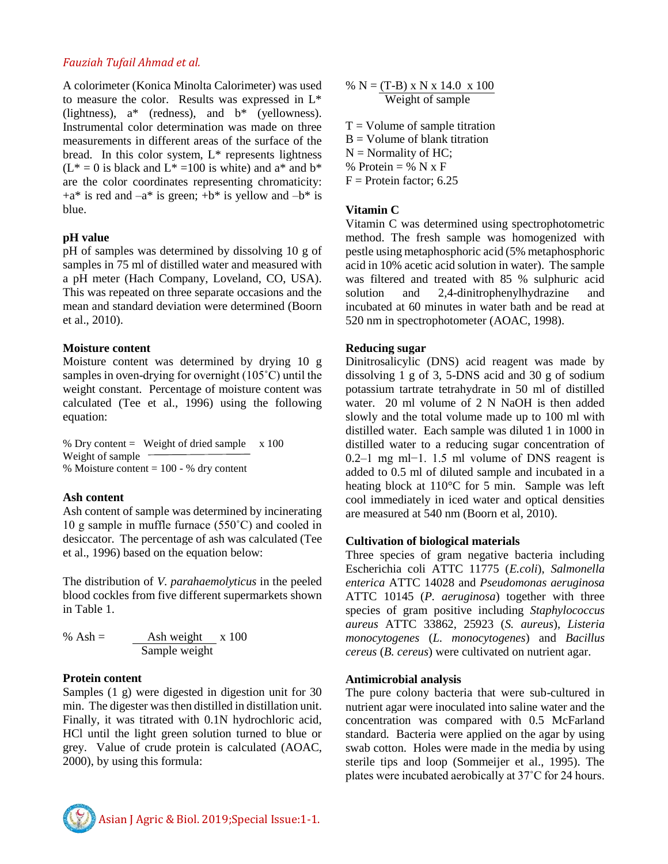A colorimeter (Konica Minolta Calorimeter) was used to measure the color. Results was expressed in L\* (lightness),  $a^*$  (redness), and  $b^*$  (yellowness). Instrumental color determination was made on three measurements in different areas of the surface of the bread. In this color system,  $L^*$  represents lightness  $(L^* = 0$  is black and  $L^* = 100$  is white) and  $a^*$  and  $b^*$ are the color coordinates representing chromaticity:  $+a^*$  is red and  $-a^*$  is green;  $+b^*$  is yellow and  $-b^*$  is blue.

#### **pH value**

pH of samples was determined by dissolving 10 g of samples in 75 ml of distilled water and measured with a pH meter (Hach Company, Loveland, CO, USA). This was repeated on three separate occasions and the mean and standard deviation were determined (Boorn et al., 2010).

#### **Moisture content**

Moisture content was determined by drying 10 g samples in oven-drying for overnight (105˚C) until the weight constant. Percentage of moisture content was calculated (Tee et al., 1996) using the following equation:

% Dry content = Weight of dried sample  $\times 100$ Weight of sample % Moisture content = 100 - % dry content

#### **Ash content**

Ash content of sample was determined by incinerating 10 g sample in muffle furnace (550˚C) and cooled in desiccator. The percentage of ash was calculated (Tee et al., 1996) based on the equation below:

The distribution of *V. parahaemolyticus* in the peeled blood cockles from five different supermarkets shown in Table 1.

$$
\% \text{ Ash} = \frac{\text{Ash weight}}{\text{Sample weight}} \times 100
$$

#### **Protein content**

Samples (1 g) were digested in digestion unit for 30 min. The digester was then distilled in distillation unit. Finally, it was titrated with 0.1N hydrochloric acid, HCl until the light green solution turned to blue or grey. Value of crude protein is calculated (AOAC, 2000), by using this formula:

$$
\% N = (T-B) \times N \times 14.0 \times 100
$$
  
Weight of sample

 $T =$  Volume of sample titration  $B =$  Volume of blank titration  $N =$  Normality of HC: % Protein  $=$  % N x F  $F =$ Protein factor; 6.25

#### **Vitamin C**

Vitamin C was determined using spectrophotometric method. The fresh sample was homogenized with pestle using metaphosphoric acid (5% metaphosphoric acid in 10% acetic acid solution in water). The sample was filtered and treated with 85 % sulphuric acid solution and 2,4-dinitrophenylhydrazine and incubated at 60 minutes in water bath and be read at 520 nm in spectrophotometer (AOAC, 1998).

#### **Reducing sugar**

Dinitrosalicylic (DNS) acid reagent was made by dissolving 1 g of 3, 5-DNS acid and 30 g of sodium potassium tartrate tetrahydrate in 50 ml of distilled water. 20 ml volume of 2 N NaOH is then added slowly and the total volume made up to 100 ml with distilled water. Each sample was diluted 1 in 1000 in distilled water to a reducing sugar concentration of 0.2–1 mg ml−1. 1.5 ml volume of DNS reagent is added to 0.5 ml of diluted sample and incubated in a heating block at 110°C for 5 min. Sample was left cool immediately in iced water and optical densities are measured at 540 nm (Boorn et al, 2010).

#### **Cultivation of biological materials**

Three species of gram negative bacteria including Escherichia coli ATTC 11775 (*E.coli*), *Salmonella enterica* ATTC 14028 and *Pseudomonas aeruginosa* ATTC 10145 (*P. aeruginosa*) together with three species of gram positive including *Staphylococcus aureus* ATTC 33862, 25923 (*S. aureus*), *Listeria monocytogenes* (*L. monocytogenes*) and *Bacillus cereus* (*B. cereus*) were cultivated on nutrient agar.

#### **Antimicrobial analysis**

The pure colony bacteria that were sub-cultured in nutrient agar were inoculated into saline water and the concentration was compared with 0.5 McFarland standard. Bacteria were applied on the agar by using swab cotton. Holes were made in the media by using sterile tips and loop (Sommeijer et al., 1995). The plates were incubated aerobically at 37˚C for 24 hours.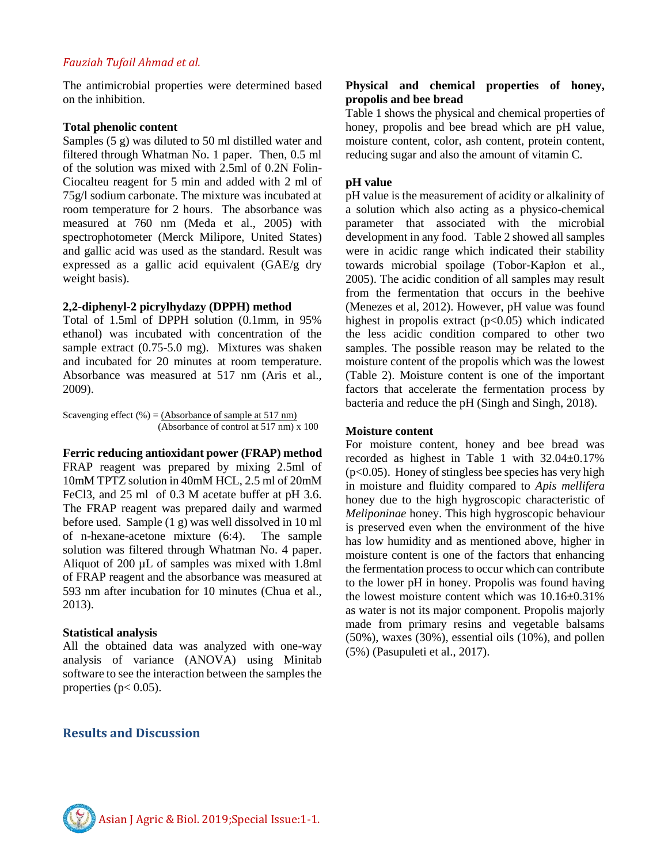The antimicrobial properties were determined based on the inhibition.

#### **Total phenolic content**

Samples (5 g) was diluted to 50 ml distilled water and filtered through Whatman No. 1 paper. Then, 0.5 ml of the solution was mixed with 2.5ml of 0.2N Folin-Ciocalteu reagent for 5 min and added with 2 ml of 75g/l sodium carbonate. The mixture was incubated at room temperature for 2 hours. The absorbance was measured at 760 nm (Meda et al., 2005) with spectrophotometer (Merck Milipore, United States) and gallic acid was used as the standard. Result was expressed as a gallic acid equivalent (GAE/g dry weight basis).

#### **2,2-diphenyl-2 picrylhydazy (DPPH) method**

Total of 1.5ml of DPPH solution (0.1mm, in 95% ethanol) was incubated with concentration of the sample extract (0.75-5.0 mg). Mixtures was shaken and incubated for 20 minutes at room temperature. Absorbance was measured at 517 nm (Aris et al., 2009).

Scavenging effect  $(\%) = (Absorbane\ of\ sample\ at\ 517\ nm)$ (Absorbance of control at 517 nm) x 100

**Ferric reducing antioxidant power (FRAP) method** FRAP reagent was prepared by mixing 2.5ml of 10mM TPTZ solution in 40mM HCL, 2.5 ml of 20mM FeCl3, and 25 ml of 0.3 M acetate buffer at pH 3.6. The FRAP reagent was prepared daily and warmed before used. Sample (1 g) was well dissolved in 10 ml of n-hexane-acetone mixture (6:4). The sample solution was filtered through Whatman No. 4 paper. Aliquot of 200 µL of samples was mixed with 1.8ml of FRAP reagent and the absorbance was measured at 593 nm after incubation for 10 minutes (Chua et al., 2013).

#### **Statistical analysis**

All the obtained data was analyzed with one-way analysis of variance (ANOVA) using Minitab software to see the interaction between the samples the properties ( $p < 0.05$ ).

# **Results and Discussion**

#### **Physical and chemical properties of honey, propolis and bee bread**

Table 1 shows the physical and chemical properties of honey, propolis and bee bread which are pH value, moisture content, color, ash content, protein content, reducing sugar and also the amount of vitamin C.

#### **pH value**

pH value is the measurement of acidity or alkalinity of a solution which also acting as a physico-chemical parameter that associated with the microbial development in any food. Table 2 showed all samples were in acidic range which indicated their stability towards microbial spoilage (Tobor‐Kapłon et al., 2005). The acidic condition of all samples may result from the fermentation that occurs in the beehive (Menezes et al, 2012). However, pH value was found highest in propolis extract  $(p<0.05)$  which indicated the less acidic condition compared to other two samples. The possible reason may be related to the moisture content of the propolis which was the lowest (Table 2). Moisture content is one of the important factors that accelerate the fermentation process by bacteria and reduce the pH (Singh and Singh, 2018).

#### **Moisture content**

For moisture content, honey and bee bread was recorded as highest in Table 1 with 32.04±0.17%  $(p<0.05)$ . Honey of stingless bee species has very high in moisture and fluidity compared to *Apis mellifera* honey due to the high hygroscopic characteristic of *Meliponinae* honey. This high hygroscopic behaviour is preserved even when the environment of the hive has low humidity and as mentioned above, higher in moisture content is one of the factors that enhancing the fermentation process to occur which can contribute to the lower pH in honey. Propolis was found having the lowest moisture content which was 10.16±0.31% as water is not its major component. Propolis majorly made from primary resins and vegetable balsams (50%), waxes (30%), essential oils (10%), and pollen (5%) (Pasupuleti et al., 2017).

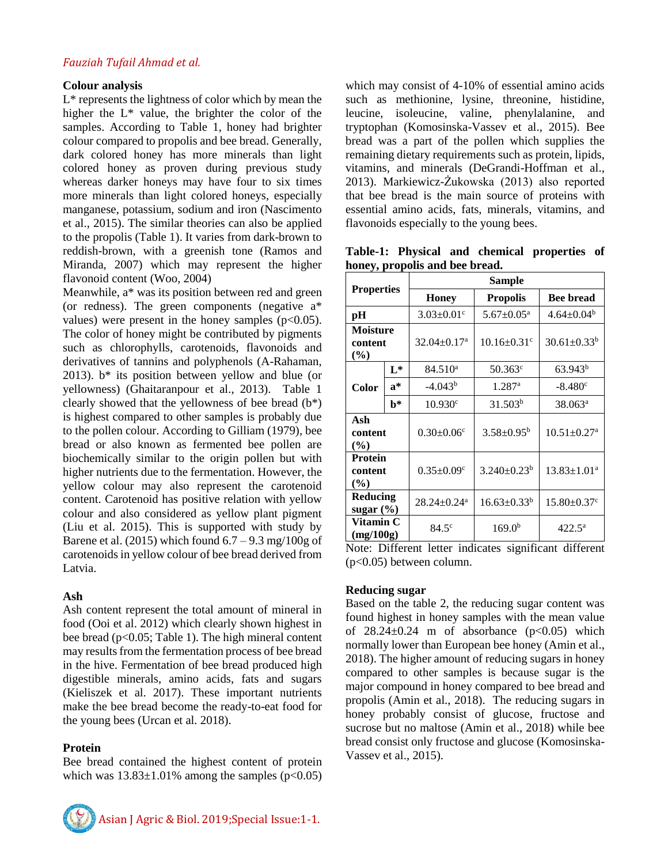#### **Colour analysis**

L\* represents the lightness of color which by mean the higher the L\* value, the brighter the color of the samples. According to Table 1, honey had brighter colour compared to propolis and bee bread. Generally, dark colored honey has more minerals than light colored honey as proven during previous study whereas darker honeys may have four to six times more minerals than light colored honeys, especially manganese, potassium, sodium and iron (Nascimento et al., 2015). The similar theories can also be applied to the propolis (Table 1). It varies from dark-brown to reddish-brown, with a greenish tone (Ramos and Miranda, 2007) which may represent the higher flavonoid content (Woo, 2004)

Meanwhile, a\* was its position between red and green (or redness). The green components (negative  $a^*$ values) were present in the honey samples  $(p<0.05)$ . The color of honey might be contributed by pigments such as chlorophylls, carotenoids, flavonoids and derivatives of tannins and polyphenols (A-Rahaman, 2013).  $b^*$  its position between yellow and blue (or yellowness) (Ghaitaranpour et al., 2013). Table 1 clearly showed that the yellowness of bee bread  $(b^*)$ is highest compared to other samples is probably due to the pollen colour. According to Gilliam (1979), bee bread or also known as fermented bee pollen are biochemically similar to the origin pollen but with higher nutrients due to the fermentation. However, the yellow colour may also represent the carotenoid content. Carotenoid has positive relation with yellow colour and also considered as yellow plant pigment (Liu et al. 2015). This is supported with study by Barene et al. (2015) which found  $6.7 - 9.3$  mg/100g of carotenoids in yellow colour of bee bread derived from Latvia.

# **Ash**

Ash content represent the total amount of mineral in food (Ooi et al. 2012) which clearly shown highest in bee bread (p<0.05; Table 1). The high mineral content may results from the fermentation process of bee bread in the hive. Fermentation of bee bread produced high digestible minerals, amino acids, fats and sugars (Kieliszek et al. 2017). These important nutrients make the bee bread become the ready-to-eat food for the young bees (Urcan et al. 2018).

# **Protein**

Bee bread contained the highest content of protein which was  $13.83\pm1.01\%$  among the samples (p<0.05)



Asian J Agric & Biol. 2019;Special Issue:1-1.

which may consist of 4-10% of essential amino acids such as methionine, lysine, threonine, histidine, leucine, isoleucine, valine, phenylalanine, and tryptophan (Komosinska-Vassev et al., 2015). Bee bread was a part of the pollen which supplies the remaining dietary requirements such as protein, lipids, vitamins, and minerals (DeGrandi-Hoffman et al., 2013). Markiewicz-Żukowska (2013) also reported that bee bread is the main source of proteins with essential amino acids, fats, minerals, vitamins, and flavonoids especially to the young bees.

|                                |  | Table-1: Physical and chemical properties of |  |
|--------------------------------|--|----------------------------------------------|--|
| honey, propolis and bee bread. |  |                                              |  |

| <b>Properties</b>                   |                | <b>Sample</b>                 |                               |                               |  |  |
|-------------------------------------|----------------|-------------------------------|-------------------------------|-------------------------------|--|--|
|                                     |                | <b>Honey</b>                  | <b>Propolis</b>               | <b>Bee bread</b>              |  |  |
| pН                                  |                | $3.03 \pm 0.01$ <sup>c</sup>  | $5.67 \pm 0.05^{\text{a}}$    | $4.64 \pm 0.04^b$             |  |  |
| Moisture<br>content<br>$(\%)$       |                | $32.04 \pm 0.17$ <sup>a</sup> | $10.16 \pm 0.31$ <sup>c</sup> | $30.61 \pm 0.33^b$            |  |  |
| Color                               | $L^*$          | $84.510^a$                    | $50.363^{\circ}$              | 63.943 <sup>b</sup>           |  |  |
|                                     | $a^*$          | $-4.043b$                     | $1.287$ <sup>a</sup>          | $-8.480^{\circ}$              |  |  |
|                                     | $\mathbf{b}^*$ | $10.930^{\circ}$              | 31.503 <sup>b</sup>           | $38.063^{\rm a}$              |  |  |
| Ash<br>content<br>$\frac{9}{6}$     |                | $0.30 \pm 0.06$ <sup>c</sup>  | $3.58 \pm 0.95^b$             | $10.51 \pm 0.27$ <sup>a</sup> |  |  |
| <b>Protein</b><br>content<br>$(\%)$ |                | $0.35 \pm 0.09$ <sup>c</sup>  | $3.240 \pm 0.23^b$            | $13.83 \pm 1.01^a$            |  |  |
| Reducing<br>sugar $(\% )$           |                | $28.24 \pm 0.24$ <sup>a</sup> | $16.63 \pm 0.33^b$            | $15.80 \pm 0.37$ <sup>c</sup> |  |  |
| Vitamin C<br>(mg/100g)              |                | $84.5^{\circ}$                | 169.0 <sup>b</sup>            | $422.5^{\circ}$               |  |  |

Note: Different letter indicates significant different  $(p<0.05)$  between column.

#### **Reducing sugar**

Based on the table 2, the reducing sugar content was found highest in honey samples with the mean value of  $28.24 \pm 0.24$  m of absorbance ( $p < 0.05$ ) which normally lower than European bee honey (Amin et al., 2018). The higher amount of reducing sugars in honey compared to other samples is because sugar is the major compound in honey compared to bee bread and propolis (Amin et al., 2018). The reducing sugars in honey probably consist of glucose, fructose and sucrose but no maltose (Amin et al., 2018) while bee bread consist only fructose and glucose (Komosinska-Vassev et al., 2015).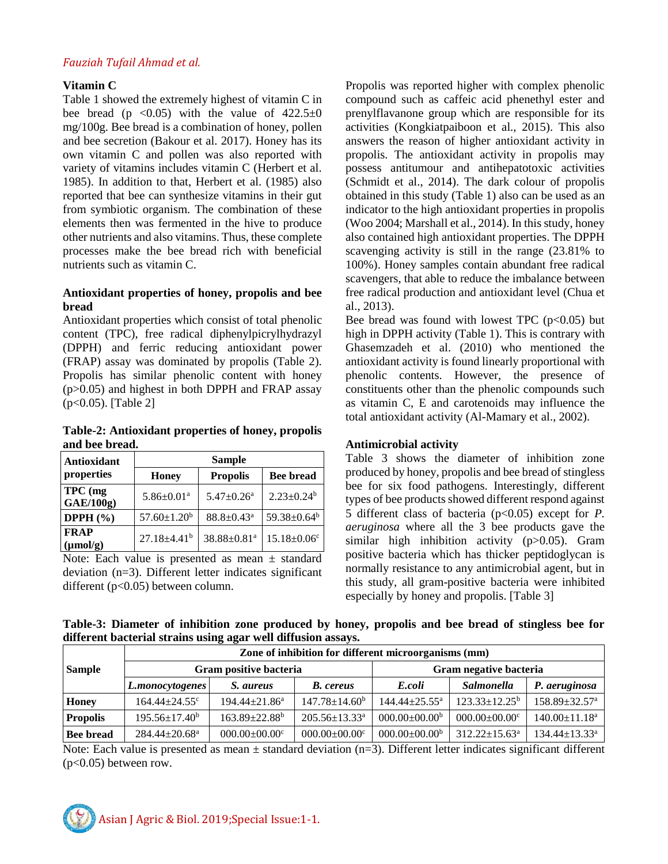#### **Vitamin C**

Table 1 showed the extremely highest of vitamin C in bee bread (p < 0.05) with the value of  $422.5 \pm 0$ mg/100g. Bee bread is a combination of honey, pollen and bee secretion (Bakour et al. 2017). Honey has its own vitamin C and pollen was also reported with variety of vitamins includes vitamin C (Herbert et al. 1985). In addition to that, Herbert et al. (1985) also reported that bee can synthesize vitamins in their gut from symbiotic organism. The combination of these elements then was fermented in the hive to produce other nutrients and also vitamins. Thus, these complete processes make the bee bread rich with beneficial nutrients such as vitamin C.

# **Antioxidant properties of honey, propolis and bee bread**

Antioxidant properties which consist of total phenolic content (TPC), free radical diphenylpicrylhydrazyl (DPPH) and ferric reducing antioxidant power (FRAP) assay was dominated by propolis (Table 2). Propolis has similar phenolic content with honey (p>0.05) and highest in both DPPH and FRAP assay (p<0.05). [Table 2]

**Table-2: Antioxidant properties of honey, propolis and bee bread.**

| Antioxidant                  | <b>Sample</b>                |                              |                              |  |  |
|------------------------------|------------------------------|------------------------------|------------------------------|--|--|
| properties                   | <b>Honey</b>                 | <b>Propolis</b>              | <b>Bee bread</b>             |  |  |
| TPC (mg<br>GAE/100g          | $5.86 \pm 0.01$ <sup>a</sup> | $5.47 \pm 0.26$ <sup>a</sup> | $2.23 \pm 0.24$ <sup>b</sup> |  |  |
| DPPH $(\% )$                 | $57.60 \pm 1.20^b$           | $88.8 \pm 0.43$ <sup>a</sup> | 59.38±0.64 <sup>b</sup>      |  |  |
| <b>FRAP</b><br>$(\mu mol/g)$ | $27.18 + 4.41b$              | 38.88±0.81ª                  | $15.18 \pm 0.06$ c           |  |  |

Note: Each value is presented as mean  $\pm$  standard deviation (n=3). Different letter indicates significant different (p<0.05) between column.

Propolis was reported higher with complex phenolic compound such as caffeic acid phenethyl ester and prenylflavanone group which are responsible for its activities (Kongkiatpaiboon et al., 2015). This also answers the reason of higher antioxidant activity in propolis. The antioxidant activity in propolis may possess antitumour and antihepatotoxic activities (Schmidt et al., 2014). The dark colour of propolis obtained in this study (Table 1) also can be used as an indicator to the high antioxidant properties in propolis (Woo 2004; Marshall et al., 2014). In this study, honey also contained high antioxidant properties. The DPPH scavenging activity is still in the range (23.81% to 100%). Honey samples contain abundant free radical scavengers, that able to reduce the imbalance between free radical production and antioxidant level (Chua et al., 2013).

Bee bread was found with lowest TPC  $(p<0.05)$  but high in DPPH activity (Table 1). This is contrary with Ghasemzadeh et al. (2010) who mentioned the antioxidant activity is found linearly proportional with phenolic contents. However, the presence of constituents other than the phenolic compounds such as vitamin C, E and carotenoids may influence the total antioxidant activity (Al-Mamary et al., 2002).

# **Antimicrobial activity**

Table 3 shows the diameter of inhibition zone produced by honey, propolis and bee bread of stingless bee for six food pathogens. Interestingly, different types of bee products showed different respond against 5 different class of bacteria (p<0.05) except for *P. aeruginosa* where all the 3 bee products gave the similar high inhibition activity (p>0.05). Gram positive bacteria which has thicker peptidoglycan is normally resistance to any antimicrobial agent, but in this study, all gram-positive bacteria were inhibited especially by honey and propolis. [Table 3]

**Table-3: Diameter of inhibition zone produced by honey, propolis and bee bread of stingless bee for different bacterial strains using agar well diffusion assays.**

|                  | Zone of inhibition for different microorganisms (mm) |                                 |                                 |                        |                                 |                                 |  |
|------------------|------------------------------------------------------|---------------------------------|---------------------------------|------------------------|---------------------------------|---------------------------------|--|
| <b>Sample</b>    |                                                      | Gram positive bacteria          |                                 | Gram negative bacteria |                                 |                                 |  |
|                  | L.monocytogenes                                      | S. aureus                       | <b>B.</b> cereus                | E.coli                 | <b>Salmonella</b>               | P. aeruginosa                   |  |
| Honey            | $164.44 + 24.55$ <sup>c</sup>                        | $194.44 \pm 21.86^a$            | $147.78 \pm 14.60^b$            | $144.44 + 25.55^a$     | $123.33 \pm 12.25^{\mathrm{b}}$ | $158.89 \pm 32.57$ <sup>a</sup> |  |
| <b>Propolis</b>  | $195.56 \pm 17.40^b$                                 | $163.89 \pm 22.88$ <sup>b</sup> | $205.56 \pm 13.33$ <sup>a</sup> | $000.00+00.00b$        | $000.00 \pm 00.00$ <sup>c</sup> | $140.00 \pm 11.18$ <sup>a</sup> |  |
| <b>Bee bread</b> | $284.44 + 20.68$ <sup>a</sup>                        | $000.00 \pm 00.00$ <sup>c</sup> | $000.00 \pm 00.00$ <sup>c</sup> | $000.00\pm00.00^b$     | $312.22 \pm 15.63^a$            | $134.44 \pm 13.33$ <sup>a</sup> |  |

Note: Each value is presented as mean  $\pm$  standard deviation (n=3). Different letter indicates significant different  $(p<0.05)$  between row.

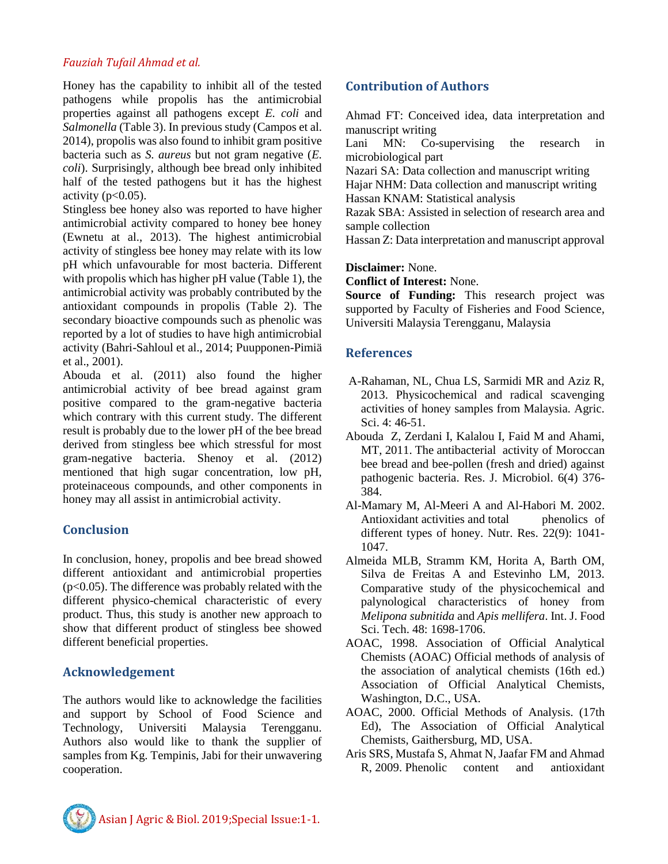Honey has the capability to inhibit all of the tested pathogens while propolis has the antimicrobial properties against all pathogens except *E. coli* and *Salmonella* (Table 3). In previous study (Campos et al. 2014), propolis was also found to inhibit gram positive bacteria such as *S. aureus* but not gram negative (*E. coli*). Surprisingly, although bee bread only inhibited half of the tested pathogens but it has the highest activity  $(p<0.05)$ .

Stingless bee honey also was reported to have higher antimicrobial activity compared to honey bee honey (Ewnetu at al., 2013). The highest antimicrobial activity of stingless bee honey may relate with its low pH which unfavourable for most bacteria. Different with propolis which has higher pH value (Table 1), the antimicrobial activity was probably contributed by the antioxidant compounds in propolis (Table 2). The secondary bioactive compounds such as phenolic was reported by a lot of studies to have high antimicrobial activity (Bahri-Sahloul et al., 2014; Puupponen-Pimiä et al., 2001).

Abouda et al. (2011) also found the higher antimicrobial activity of bee bread against gram positive compared to the gram-negative bacteria which contrary with this current study. The different result is probably due to the lower pH of the bee bread derived from stingless bee which stressful for most gram-negative bacteria. Shenoy et al. (2012) mentioned that high sugar concentration, low pH, proteinaceous compounds, and other components in honey may all assist in antimicrobial activity.

# **Conclusion**

In conclusion, honey, propolis and bee bread showed different antioxidant and antimicrobial properties  $(p<0.05)$ . The difference was probably related with the different physico-chemical characteristic of every product. Thus, this study is another new approach to show that different product of stingless bee showed different beneficial properties.

# **Acknowledgement**

The authors would like to acknowledge the facilities and support by School of Food Science and Technology, Universiti Malaysia Terengganu. Authors also would like to thank the supplier of samples from Kg. Tempinis, Jabi for their unwavering cooperation.

# **Contribution of Authors**

Ahmad FT: Conceived idea, data interpretation and manuscript writing

Lani MN: Co-supervising the research in microbiological part

Nazari SA: Data collection and manuscript writing

Hajar NHM: Data collection and manuscript writing Hassan KNAM: Statistical analysis

Razak SBA: Assisted in selection of research area and sample collection

Hassan Z: Data interpretation and manuscript approval

**Disclaimer:** None.

**Conflict of Interest:** None.

**Source of Funding:** This research project was supported by Faculty of Fisheries and Food Science, Universiti Malaysia Terengganu, Malaysia

# **References**

- A-Rahaman, NL, Chua LS, Sarmidi MR and Aziz R, 2013. Physicochemical and radical scavenging activities of honey samples from Malaysia. Agric. Sci. 4: 46-51.
- Abouda Z, Zerdani I, Kalalou I, Faid M and Ahami, MT, 2011. The antibacterial activity of Moroccan bee bread and bee-pollen (fresh and dried) against pathogenic bacteria. Res. J. Microbiol. 6(4) 376- 384.
- Al-Mamary M, Al-Meeri A and Al-Habori M. 2002. Antioxidant activities and total phenolics of different types of honey. Nutr. Res. 22(9): 1041- 1047.
- Almeida MLB, Stramm KM, Horita A, Barth OM, Silva de Freitas A and Estevinho LM, 2013. Comparative study of the physicochemical and palynological characteristics of honey from *Melipona subnitida* and *Apis mellifera*. Int. J. Food Sci. Tech. 48: 1698-1706.
- AOAC, 1998. Association of Official Analytical Chemists (AOAC) Official methods of analysis of the association of analytical chemists (16th ed.) Association of Official Analytical Chemists, Washington, D.C., USA.
- AOAC, 2000. Official Methods of Analysis. (17th Ed), The Association of Official Analytical Chemists, Gaithersburg, MD, USA.
- Aris SRS, Mustafa S, Ahmat N, Jaafar FM and Ahmad R, 2009. Phenolic content and antioxidant

Asian J Agric & Biol. 2019;Special Issue:1-1.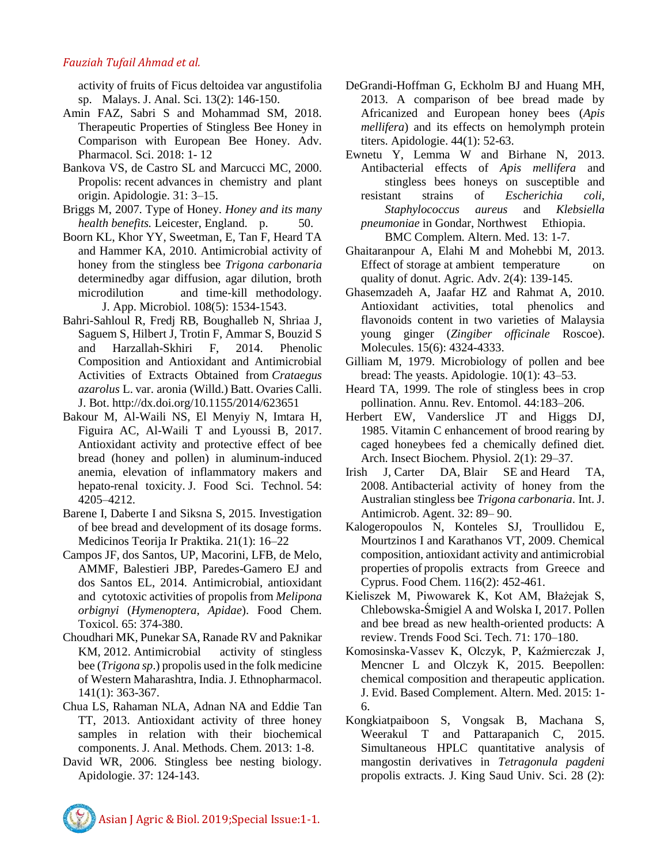activity of fruits of Ficus deltoidea var angustifolia sp. Malays. J. Anal. Sci. 13(2): 146-150.

- Amin FAZ, Sabri S and Mohammad SM, 2018. Therapeutic Properties of Stingless Bee Honey in Comparison with European Bee Honey. Adv. Pharmacol. Sci. 2018: 1- 12
- Bankova VS, de Castro SL and Marcucci MC, 2000. Propolis: recent advances in chemistry and plant origin. Apidologie. 31: 3–15.
- Briggs M, 2007. Type of Honey. *Honey and its many health benefits.* Leicester, England. p. 50.
- Boorn KL, Khor YY, Sweetman, E, Tan F, Heard TA and Hammer KA, 2010. Antimicrobial activity of honey from the stingless bee *Trigona carbonaria* determinedby agar diffusion, agar dilution, broth microdilution and time‐kill methodology. J. App. Microbiol. 108(5): 1534-1543.
- Bahri-Sahloul R, Fredj RB, Boughalleb N, Shriaa J, Saguem S, Hilbert J, Trotin F, Ammar S, Bouzid S and Harzallah-Skhiri F, 2014. Phenolic Composition and Antioxidant and Antimicrobial Activities of Extracts Obtained from *Crataegus azarolus* L. var. aronia (Willd.) Batt. Ovaries Calli. J. Bot. http://dx.doi.org/10.1155/2014/623651
- Bakour M, Al-Waili NS, El Menyiy N, Imtara H, Figuira AC, Al-Waili T and Lyoussi B, 2017. Antioxidant activity and protective effect of bee bread (honey and pollen) in aluminum-induced anemia, elevation of inflammatory makers and hepato-renal toxicity. J. Food Sci. Technol. 54: 4205–4212.
- Barene I, Daberte I and Siksna S, 2015. Investigation of bee bread and development of its dosage forms. Medicinos Teorija Ir Praktika. 21(1): 16–22
- Campos JF, dos Santos, UP, Macorini, LFB, de Melo, AMMF, Balestieri JBP, Paredes-Gamero EJ and dos Santos EL, 2014. Antimicrobial, antioxidant and cytotoxic activities of propolis from *Melipona orbignyi* (*Hymenoptera, Apidae*). Food Chem. Toxicol. 65: 374-380.
- Choudhari MK, Punekar SA, Ranade RV and Paknikar KM, 2012. Antimicrobial activity of stingless bee (*Trigona sp*.) propolis used in the folk medicine of Western Maharashtra, India. J. Ethnopharmacol. 141(1): 363-367.
- Chua LS, Rahaman NLA, Adnan NA and Eddie Tan TT, 2013. Antioxidant activity of three honey samples in relation with their biochemical components. J. Anal. Methods. Chem. 2013: 1-8.
- David WR, 2006. Stingless bee nesting biology. Apidologie. 37: 124-143.
- DeGrandi-Hoffman G, Eckholm BJ and Huang MH, 2013. A comparison of bee bread made by Africanized and European honey bees (*Apis mellifera*) and its effects on hemolymph protein titers. Apidologie. 44(1): 52-63.
- Ewnetu Y, Lemma W and Birhane N, 2013. Antibacterial effects of *Apis mellifera* and stingless bees honeys on susceptible and resistant strains of *Escherichia coli, Staphylococcus aureus* and *Klebsiella pneumoniae* in Gondar, Northwest Ethiopia. BMC Complem. Altern. Med. 13: 1-7.
- Ghaitaranpour A, Elahi M and Mohebbi M, 2013. Effect of storage at ambient temperature on quality of donut. Agric. Adv. 2(4): 139-145.
- Ghasemzadeh A, Jaafar HZ and Rahmat A, 2010. Antioxidant activities, total phenolics and flavonoids content in two varieties of Malaysia young ginger (*Zingiber officinale* Roscoe). Molecules. 15(6): 4324-4333.
- Gilliam M, 1979. Microbiology of pollen and bee bread: The yeasts. Apidologie. 10(1): 43–53.
- Heard TA, 1999. The role of stingless bees in crop pollination. Annu. Rev. Entomol. 44:183–206.
- Herbert EW, Vanderslice JT and Higgs DJ, 1985. Vitamin C enhancement of brood rearing by caged honeybees fed a chemically defined diet*.*  Arch. Insect Biochem. Physiol. 2(1): 29–37*.*
- Irish J, Carter DA, Blair SE and Heard TA, 2008. Antibacterial activity of honey from the Australian stingless bee *Trigona carbonaria*. Int. J. Antimicrob. Agent. 32: 89– 90.
- Kalogeropoulos N, Konteles SJ, Troullidou E, Mourtzinos I and Karathanos VT, 2009. Chemical composition, antioxidant activity and antimicrobial properties of propolis extracts from Greece and Cyprus. Food Chem. 116(2): 452-461.
- Kieliszek M, Piwowarek K, Kot AM, Błażejak S, Chlebowska-Śmigiel A and Wolska I, 2017. Pollen and bee bread as new health-oriented products: A review. Trends Food Sci. Tech. 71: 170–180.
- Komosinska-Vassev K, Olczyk, P, Kaźmierczak J, Mencner L and Olczyk K, 2015. Beepollen: chemical composition and therapeutic application. J. Evid. Based Complement. Altern. Med. 2015: 1- 6.
- Kongkiatpaiboon S, Vongsak B, Machana S, Weerakul T and Pattarapanich C, 2015. Simultaneous HPLC quantitative analysis of mangostin derivatives in *Tetragonula pagdeni* propolis extracts. J. King Saud Univ. Sci. 28 (2):

Asian J Agric & Biol. 2019;Special Issue:1-1.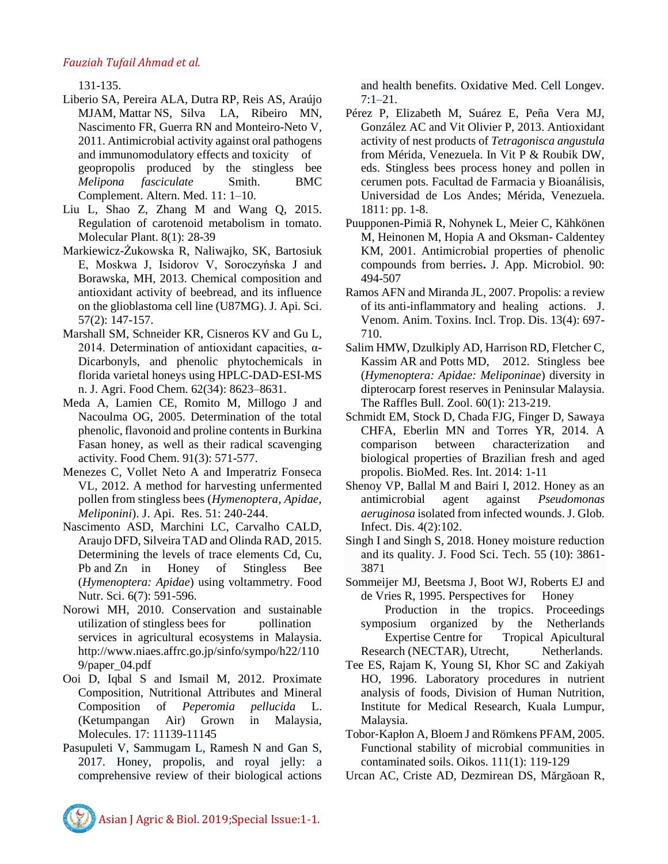131-135.

- Liberio SA, Pereira ALA, Dutra RP, Reis AS, Araújo MJAM, Mattar NS, Silva LA, Ribeiro MN, Nascimento FR, Guerra RN and Monteiro-Neto V, 2011. Antimicrobial activity against oral pathogens and immunomodulatory effects and toxicity of geopropolis produced by the stingless bee *Melipona fasciculate* Smith. BMC Complement. Altern. Med. 11: 1–10.
- Liu L, Shao Z, Zhang M and Wang Q, 2015. Regulation of carotenoid metabolism in tomato. Molecular Plant. 8(1): 28-39
- Markiewicz-Żukowska R, Naliwajko, SK, Bartosiuk E, Moskwa J, Isidorov V, Soroczyńska J and Borawska, MH, 2013. Chemical composition and antioxidant activity of beebread, and its influence on the glioblastoma cell line (U87MG). J. Api. Sci. 57(2): 147-157.
- Marshall SM, Schneider KR, Cisneros KV and Gu L, 2014. Determination of antioxidant capacities,  $\alpha$ -Dicarbonyls, and phenolic phytochemicals in florida varietal honeys using HPLC-DAD-ESI-MS n. J. Agri. Food Chem. 62(34): 8623–8631.
- Meda A, Lamien CE, Romito M, Millogo J and Nacoulma OG, 2005. Determination of the total phenolic, flavonoid and proline contents in Burkina Fasan honey, as well as their radical scavenging activity. Food Chem. 91(3): 571-577.
- Menezes C, Vollet Neto A and Imperatriz Fonseca VL, 2012. A method for harvesting unfermented pollen from stingless bees (*Hymenoptera, Apidae, Meliponini*). J. Api. Res. 51: 240-244.
- Nascimento ASD, Marchini LC, Carvalho CALD, Araujo DFD, Silveira TAD and Olinda RAD, 2015. Determining the levels of trace elements Cd, Cu, Pb and Zn in Honey of Stingless Bee (*Hymenoptera: Apidae*) using voltammetry. Food Nutr. Sci. 6(7): 591-596.
- Norowi MH, 2010. Conservation and sustainable utilization of stingless bees for pollination services in agricultural ecosystems in Malaysia. http://www.niaes.affrc.go.jp/sinfo/sympo/h22/110 9/paper\_04.pdf
- Ooi D, Iqbal S and Ismail M, 2012. Proximate Composition, Nutritional Attributes and Mineral Composition of *Peperomia pellucida* L. (Ketumpangan Air) Grown in Malaysia, Molecules. 17: 11139-11145
- Pasupuleti V, Sammugam L, Ramesh N and Gan S, 2017. Honey, propolis, and royal jelly: a comprehensive review of their biological actions

and health benefits. Oxidative Med. Cell Longev. 7:1–21.

- Pérez P, Elizabeth M, Suárez E, Peña Vera MJ, González AC and Vit Olivier P, 2013. Antioxidant activity of nest products of *Tetragonisca angustula* from Mérida, Venezuela. In Vit P & Roubik DW, eds. Stingless bees process honey and pollen in cerumen pots. Facultad de Farmacia y Bioanálisis, Universidad de Los Andes; Mérida, Venezuela. 1811: pp. 1-8.
- Puupponen-Pimiä R, Nohynek L, Meier C, Kähkönen M, Heinonen M, Hopia A and Oksman- Caldentey KM, 2001. Antimicrobial properties of phenolic compounds from berries**.** J. App. Microbiol. 90: 494-507
- Ramos AFN and Miranda JL, 2007. Propolis: a review of its anti-inflammatory and healing actions. J. Venom. Anim. Toxins. Incl. Trop. Dis. 13(4): 697- 710.
- Salim HMW, Dzulkiply AD, Harrison RD, Fletcher C, Kassim AR and Potts MD, 2012. Stingless bee (*Hymenoptera: Apidae: Meliponinae*) diversity in dipterocarp forest reserves in Peninsular Malaysia. The Raffles Bull. Zool. 60(1): 213-219.
- Schmidt EM, Stock D, Chada FJG, Finger D, Sawaya CHFA, Eberlin MN and Torres YR, 2014. A comparison between characterization and biological properties of Brazilian fresh and aged propolis. BioMed. Res. Int. 2014: 1-11
- Shenoy VP, Ballal M and Bairi I, 2012. Honey as an antimicrobial agent against *Pseudomonas aeruginosa* isolated from infected wounds. J. Glob. Infect. Dis. 4(2):102.
- Singh I and Singh S, 2018. Honey moisture reduction and its quality. [J. Food Sci. Tech. 5](https://link.springer.com/journal/13197)5 (10): 3861- 3871
- Sommeijer MJ, Beetsma J, Boot WJ, Roberts EJ and de Vries R, 1995. Perspectives for Honey
	- Production in the tropics. Proceedings symposium organized by the Netherlands Expertise Centre for Tropical Apicultural Research (NECTAR), Utrecht, Netherlands.
- Tee ES, Rajam K, Young SI, Khor SC and Zakiyah HO, 1996. Laboratory procedures in nutrient analysis of foods, Division of Human Nutrition, Institute for Medical Research, Kuala Lumpur, Malaysia.
- Tobor‐Kapłon A, Bloem J and Römkens PFAM, 2005. Functional stability of microbial communities in contaminated soils. Oikos. 111(1): 119-129
- Urcan AC, Criste AD, Dezmirean DS, Mărgăoan R,